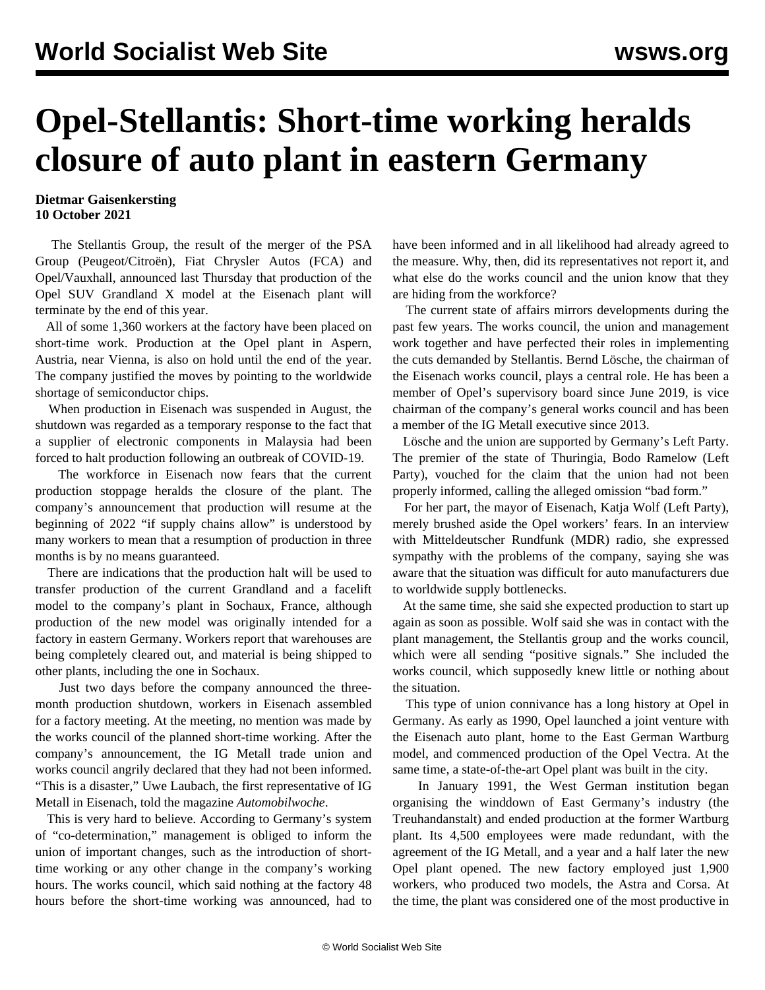## **Opel-Stellantis: Short-time working heralds closure of auto plant in eastern Germany**

## **Dietmar Gaisenkersting 10 October 2021**

 The Stellantis Group, the result of the merger of the PSA Group (Peugeot/Citroën), Fiat Chrysler Autos (FCA) and Opel/Vauxhall, announced last Thursday that production of the Opel SUV Grandland X model at the Eisenach plant will terminate by the end of this year.

 All of some 1,360 workers at the factory have been placed on short-time work. Production at the Opel plant in Aspern, Austria, near Vienna, is also on hold until the end of the year. The company justified the moves by pointing to the worldwide shortage of semiconductor chips.

 When production in Eisenach was suspended in August, the shutdown was regarded as a temporary response to the fact that a supplier of electronic components in Malaysia had been forced to halt production following an outbreak of COVID-19.

 The workforce in Eisenach now fears that the current production stoppage heralds the closure of the plant. The company's announcement that production will resume at the beginning of 2022 "if supply chains allow" is understood by many workers to mean that a resumption of production in three months is by no means guaranteed.

 There are indications that the production halt will be used to transfer production of the current Grandland and a facelift model to the company's plant in Sochaux, France, although production of the new model was originally intended for a factory in eastern Germany. Workers report that warehouses are being completely cleared out, and material is being shipped to other plants, including the one in Sochaux.

 Just two days before the company announced the threemonth production shutdown, workers in Eisenach assembled for a factory meeting. At the meeting, no mention was made by the works council of the planned short-time working. After the company's announcement, the IG Metall trade union and works council angrily declared that they had not been informed. "This is a disaster," Uwe Laubach, the first representative of IG Metall in Eisenach, told the magazine *Automobilwoche*.

 This is very hard to believe. According to Germany's system of "co-determination," management is obliged to inform the union of important changes, such as the introduction of shorttime working or any other change in the company's working hours. The works council, which said nothing at the factory 48 hours before the short-time working was announced, had to

have been informed and in all likelihood had already agreed to the measure. Why, then, did its representatives not report it, and what else do the works council and the union know that they are hiding from the workforce?

 The current state of affairs mirrors developments during the past few years. The works council, the union and management work together and have perfected their roles in implementing the cuts demanded by Stellantis. Bernd Lösche, the chairman of the Eisenach works council, plays a central role. He has been a member of Opel's supervisory board since June 2019, is vice chairman of the company's general works council and has been a member of the IG Metall executive since 2013.

 Lösche and the union are supported by Germany's Left Party. The premier of the state of Thuringia, Bodo Ramelow (Left Party), vouched for the claim that the union had not been properly informed, calling the alleged omission "bad form."

 For her part, the mayor of Eisenach, Katja Wolf (Left Party), merely brushed aside the Opel workers' fears. In an interview with Mitteldeutscher Rundfunk (MDR) radio, she expressed sympathy with the problems of the company, saying she was aware that the situation was difficult for auto manufacturers due to worldwide supply bottlenecks.

 At the same time, she said she expected production to start up again as soon as possible. Wolf said she was in contact with the plant management, the Stellantis group and the works council, which were all sending "positive signals." She included the works council, which supposedly knew little or nothing about the situation.

 This type of union connivance has a long history at Opel in Germany. As early as 1990, Opel launched a joint venture with the Eisenach auto plant, home to the East German Wartburg model, and commenced production of the Opel Vectra. At the same time, a state-of-the-art Opel plant was built in the city.

 In January 1991, the West German institution began organising the winddown of East Germany's industry (the Treuhandanstalt) and ended production at the former Wartburg plant. Its 4,500 employees were made redundant, with the agreement of the IG Metall, and a year and a half later the new Opel plant opened. The new factory employed just 1,900 workers, who produced two models, the Astra and Corsa. At the time, the plant was considered one of the most productive in